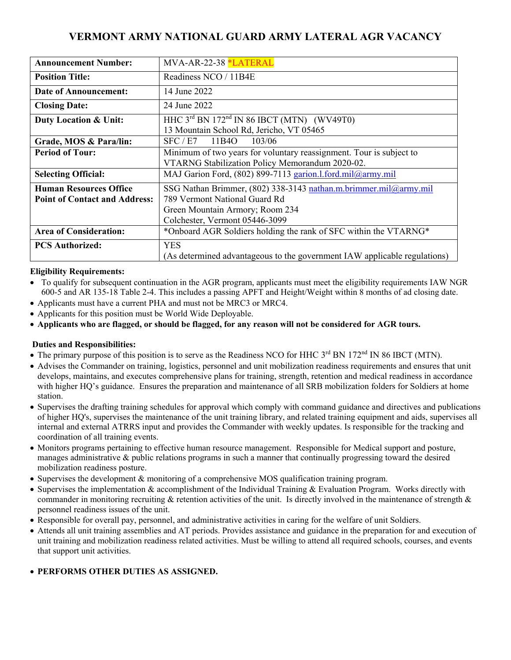## **VERMONT ARMY NATIONAL GUARD ARMY LATERAL AGR VACANCY**

| <b>Announcement Number:</b>          | MVA-AR-22-38 *LATERAL                                                     |
|--------------------------------------|---------------------------------------------------------------------------|
| <b>Position Title:</b>               | Readiness NCO / 11B4E                                                     |
| Date of Announcement:                | 14 June 2022                                                              |
| <b>Closing Date:</b>                 | 24 June 2022                                                              |
| <b>Duty Location &amp; Unit:</b>     | HHC $3rd$ BN 172 <sup>nd</sup> IN 86 IBCT (MTN) (WV49T0)                  |
|                                      | 13 Mountain School Rd, Jericho, VT 05465                                  |
| Grade, MOS & Para/lin:               | SFC / E7<br>103/06<br>11B4O                                               |
| <b>Period of Tour:</b>               | Minimum of two years for voluntary reassignment. Tour is subject to       |
|                                      | VTARNG Stabilization Policy Memorandum 2020-02.                           |
| <b>Selecting Official:</b>           | MAJ Garion Ford, (802) 899-7113 garion.l.ford.mil@army.mil                |
| <b>Human Resources Office</b>        | SSG Nathan Brimmer, (802) 338-3143 nathan.m.brimmer.mil@army.mil          |
| <b>Point of Contact and Address:</b> | 789 Vermont National Guard Rd                                             |
|                                      | Green Mountain Armory; Room 234                                           |
|                                      | Colchester, Vermont 05446-3099                                            |
| <b>Area of Consideration:</b>        | *Onboard AGR Soldiers holding the rank of SFC within the VTARNG*          |
| <b>PCS Authorized:</b>               | <b>YES</b>                                                                |
|                                      | (As determined advantageous to the government IAW applicable regulations) |

### **Eligibility Requirements:**

- To qualify for subsequent continuation in the AGR program, applicants must meet the eligibility requirements IAW NGR 600-5 and AR 135-18 Table 2-4. This includes a passing APFT and Height/Weight within 8 months of ad closing date.
- Applicants must have a current PHA and must not be MRC3 or MRC4.
- Applicants for this position must be World Wide Deployable.
- **Applicants who are flagged, or should be flagged, for any reason will not be considered for AGR tours.**

### **Duties and Responsibilities:**

- The primary purpose of this position is to serve as the Readiness NCO for HHC  $3<sup>rd</sup>$  BN 172<sup>nd</sup> IN 86 IBCT (MTN).
- Advises the Commander on training, logistics, personnel and unit mobilization readiness requirements and ensures that unit develops, maintains, and executes comprehensive plans for training, strength, retention and medical readiness in accordance with higher HO's guidance. Ensures the preparation and maintenance of all SRB mobilization folders for Soldiers at home station.
- Supervises the drafting training schedules for approval which comply with command guidance and directives and publications of higher HQ's, supervises the maintenance of the unit training library, and related training equipment and aids, supervises all internal and external ATRRS input and provides the Commander with weekly updates. Is responsible for the tracking and coordination of all training events.
- Monitors programs pertaining to effective human resource management. Responsible for Medical support and posture, manages administrative & public relations programs in such a manner that continually progressing toward the desired mobilization readiness posture.
- Supervises the development & monitoring of a comprehensive MOS qualification training program.
- Supervises the implementation  $&$  accomplishment of the Individual Training  $&$  Evaluation Program. Works directly with commander in monitoring recruiting  $\&$  retention activities of the unit. Is directly involved in the maintenance of strength  $\&$ personnel readiness issues of the unit.
- Responsible for overall pay, personnel, and administrative activities in caring for the welfare of unit Soldiers.
- Attends all unit training assemblies and AT periods. Provides assistance and guidance in the preparation for and execution of unit training and mobilization readiness related activities. Must be willing to attend all required schools, courses, and events that support unit activities.

### **PERFORMS OTHER DUTIES AS ASSIGNED.**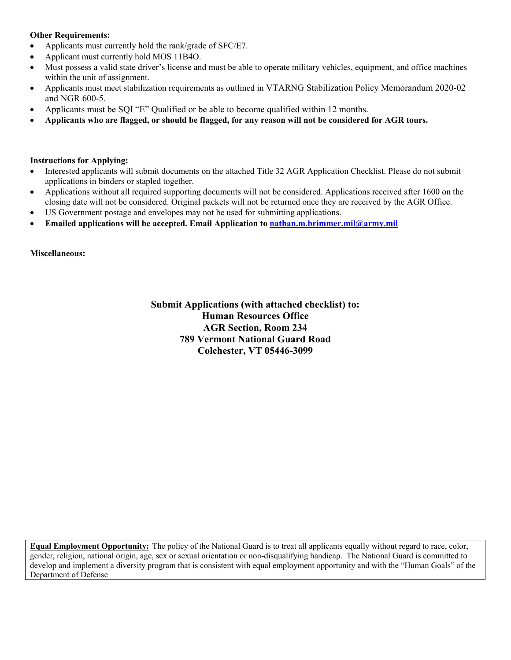### **Other Requirements:**

- Applicants must currently hold the rank/grade of SFC/E7.
- Applicant must currently hold MOS 11B4O.
- Must possess a valid state driver's license and must be able to operate military vehicles, equipment, and office machines within the unit of assignment.
- Applicants must meet stabilization requirements as outlined in VTARNG Stabilization Policy Memorandum 2020-02 and NGR 600-5.
- Applicants must be SQI "E" Qualified or be able to become qualified within 12 months.
- **Applicants who are flagged, or should be flagged, for any reason will not be considered for AGR tours.**

#### **Instructions for Applying:**

- Interested applicants will submit documents on the attached Title 32 AGR Application Checklist. Please do not submit applications in binders or stapled together.
- Applications without all required supporting documents will not be considered. Applications received after 1600 on the closing date will not be considered. Original packets will not be returned once they are received by the AGR Office.
- US Government postage and envelopes may not be used for submitting applications.
- **Emailed applications will be accepted. Email Application to nathan.m.brimmer.mil@army.mil**

**Miscellaneous:** 

**Submit Applications (with attached checklist) to: Human Resources Office AGR Section, Room 234 789 Vermont National Guard Road Colchester, VT 05446-3099** 

**Equal Employment Opportunity:** The policy of the National Guard is to treat all applicants equally without regard to race, color, gender, religion, national origin, age, sex or sexual orientation or non-disqualifying handicap. The National Guard is committed to develop and implement a diversity program that is consistent with equal employment opportunity and with the "Human Goals" of the Department of Defense